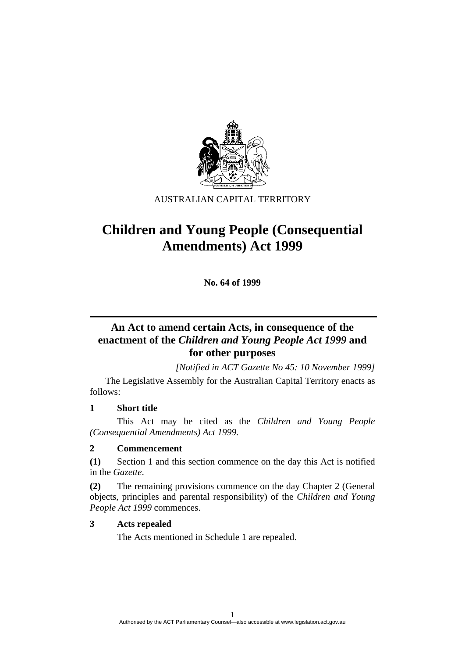

AUSTRALIAN CAPITAL TERRITORY

# **Children and Young People (Consequential Amendments) Act 1999**

**No. 64 of 1999** 

## **An Act to amend certain Acts, in consequence of the enactment of the** *Children and Young People Act 1999* **and for other purposes**

*[Notified in ACT Gazette No 45: 10 November 1999]* 

 The Legislative Assembly for the Australian Capital Territory enacts as follows:

### **1 Short title**

 This Act may be cited as the *Children and Young People (Consequential Amendments) Act 1999.*

### **2 Commencement**

**(1)** Section 1 and this section commence on the day this Act is notified in the *Gazette*.

**(2)** The remaining provisions commence on the day Chapter 2 (General objects, principles and parental responsibility) of the *Children and Young People Act 1999* commences.

### **3 Acts repealed**

The Acts mentioned in Schedule 1 are repealed.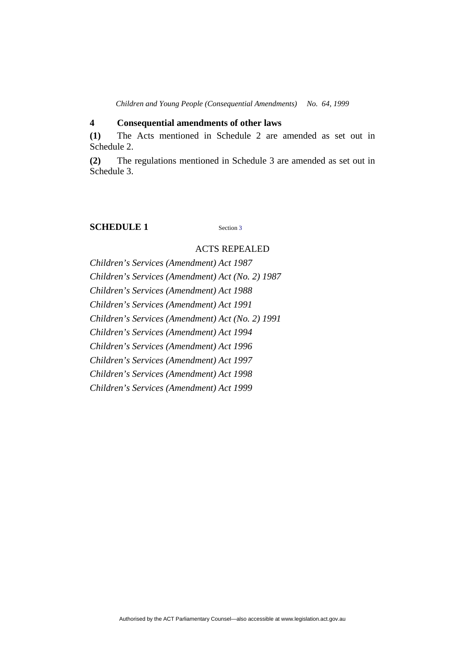### **4 Consequential amendments of other laws**

**(1)** The Acts mentioned in Schedule 2 are amended as set out in Schedule 2.

**(2)** The regulations mentioned in Schedule 3 are amended as set out in Schedule 3.

### **SCHEDULE 1** Section 3

#### ACTS REPEALED

*Children's Services (Amendment) Act 1987 Children's Services (Amendment) Act (No. 2) 1987 Children's Services (Amendment) Act 1988 Children's Services (Amendment) Act 1991 Children's Services (Amendment) Act (No. 2) 1991 Children's Services (Amendment) Act 1994 Children's Services (Amendment) Act 1996 Children's Services (Amendment) Act 1997 Children's Services (Amendment) Act 1998 Children's Services (Amendment) Act 1999*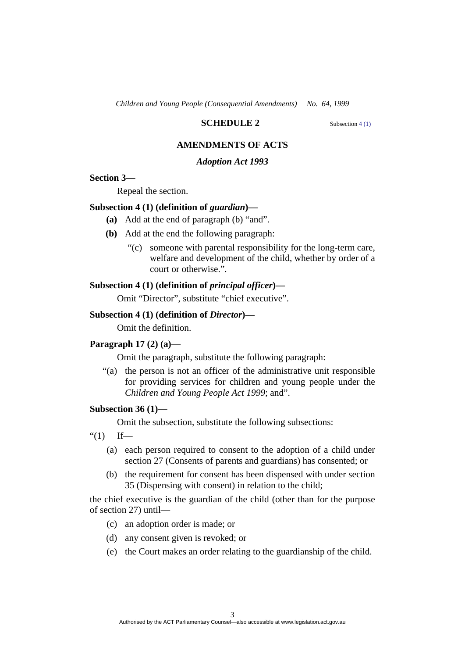### **SCHEDULE 2** Subsection 4 (1)

### **AMENDMENTS OF ACTS**

#### *Adoption Act 1993*

#### **Section 3—**

Repeal the section.

#### **Subsection 4 (1) (definition of** *guardian***)—**

- **(a)** Add at the end of paragraph (b) "and".
- **(b)** Add at the end the following paragraph:
	- "(c) someone with parental responsibility for the long-term care, welfare and development of the child, whether by order of a court or otherwise.".

#### **Subsection 4 (1) (definition of** *principal officer***)—**

Omit "Director", substitute "chief executive".

#### **Subsection 4 (1) (definition of** *Director***)—**

Omit the definition.

#### **Paragraph 17 (2) (a)—**

Omit the paragraph, substitute the following paragraph:

 "(a) the person is not an officer of the administrative unit responsible for providing services for children and young people under the *Children and Young People Act 1999*; and".

### **Subsection 36 (1)—**

Omit the subsection, substitute the following subsections:

 $f''(1)$  If—

- (a) each person required to consent to the adoption of a child under section 27 (Consents of parents and guardians) has consented; or
- (b) the requirement for consent has been dispensed with under section 35 (Dispensing with consent) in relation to the child;

the chief executive is the guardian of the child (other than for the purpose of section 27) until—

- (c) an adoption order is made; or
- (d) any consent given is revoked; or
- (e) the Court makes an order relating to the guardianship of the child.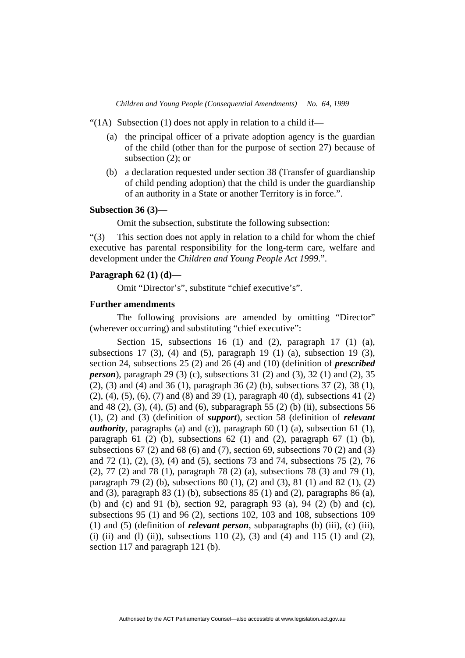"(1A) Subsection (1) does not apply in relation to a child if—

- (a) the principal officer of a private adoption agency is the guardian of the child (other than for the purpose of section 27) because of subsection (2); or
- (b) a declaration requested under section 38 (Transfer of guardianship of child pending adoption) that the child is under the guardianship of an authority in a State or another Territory is in force.".

#### **Subsection 36 (3)—**

Omit the subsection, substitute the following subsection:

"(3) This section does not apply in relation to a child for whom the chief executive has parental responsibility for the long-term care, welfare and development under the *Children and Young People Act 1999*.".

### **Paragraph 62 (1) (d)—**

Omit "Director's", substitute "chief executive's".

### **Further amendments**

The following provisions are amended by omitting "Director" (wherever occurring) and substituting "chief executive":

Section 15, subsections 16 (1) and (2), paragraph 17 (1) (a), subsections 17 (3), (4) and (5), paragraph 19 (1) (a), subsection 19 (3), section 24, subsections 25 (2) and 26 (4) and (10) (definition of *prescribed person*), paragraph 29 (3) (c), subsections 31 (2) and (3), 32 (1) and (2), 35 (2), (3) and (4) and 36 (1), paragraph 36 (2) (b), subsections 37 (2), 38 (1), (2), (4), (5), (6), (7) and (8) and 39 (1), paragraph 40 (d), subsections 41 (2) and 48 (2), (3), (4), (5) and (6), subparagraph 55 (2) (b) (ii), subsections 56 (1), (2) and (3) (definition of *support*), section 58 (definition of *relevant authority*, paragraphs (a) and (c)), paragraph 60 (1) (a), subsection 61 (1), paragraph 61 (2) (b), subsections 62 (1) and (2), paragraph 67 (1) (b), subsections  $67$  (2) and  $68$  (6) and (7), section  $69$ , subsections  $70$  (2) and (3) and 72 (1), (2), (3), (4) and (5), sections 73 and 74, subsections 75 (2), 76 (2), 77 (2) and 78 (1), paragraph 78 (2) (a), subsections 78 (3) and 79 (1), paragraph 79 (2) (b), subsections 80 (1), (2) and (3), 81 (1) and 82 (1), (2) and (3), paragraph 83 (1) (b), subsections 85 (1) and (2), paragraphs 86 (a), (b) and (c) and 91 (b), section 92, paragraph 93 (a), 94 (2) (b) and (c), subsections 95 (1) and 96 (2), sections 102, 103 and 108, subsections 109 (1) and (5) (definition of *relevant person*, subparagraphs (b) (iii), (c) (iii), (i) (ii) and (l) (ii)), subsections 110 (2), (3) and (4) and 115 (1) and (2), section 117 and paragraph 121 (b).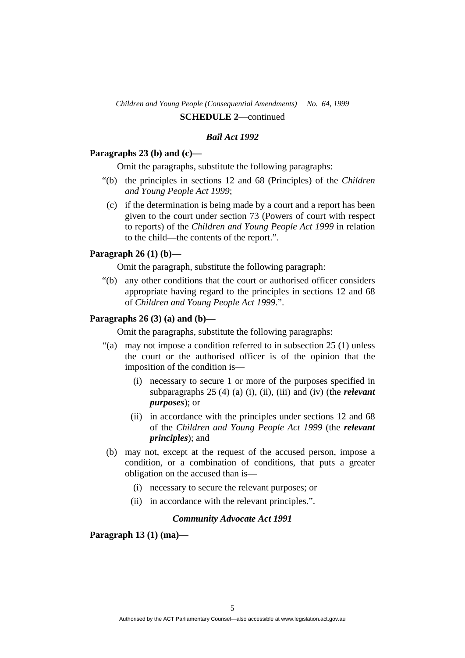### *Bail Act 1992*

### **Paragraphs 23 (b) and (c)—**

Omit the paragraphs, substitute the following paragraphs:

- "(b) the principles in sections 12 and 68 (Principles) of the *Children and Young People Act 1999*;
- (c) if the determination is being made by a court and a report has been given to the court under section 73 (Powers of court with respect to reports) of the *Children and Young People Act 1999* in relation to the child—the contents of the report.".

### **Paragraph 26 (1) (b)—**

Omit the paragraph, substitute the following paragraph:

 "(b) any other conditions that the court or authorised officer considers appropriate having regard to the principles in sections 12 and 68 of *Children and Young People Act 1999*.".

### **Paragraphs 26 (3) (a) and (b)—**

Omit the paragraphs, substitute the following paragraphs:

- "(a) may not impose a condition referred to in subsection 25 (1) unless the court or the authorised officer is of the opinion that the imposition of the condition is—
	- (i) necessary to secure 1 or more of the purposes specified in subparagraphs 25 (4) (a) (i), (ii), (iii) and (iv) (the *relevant purposes*); or
	- (ii) in accordance with the principles under sections 12 and 68 of the *Children and Young People Act 1999* (the *relevant principles*); and
- (b) may not, except at the request of the accused person, impose a condition, or a combination of conditions, that puts a greater obligation on the accused than is—
	- (i) necessary to secure the relevant purposes; or
	- (ii) in accordance with the relevant principles.".

### *Community Advocate Act 1991*

 **Paragraph 13 (1) (ma)—**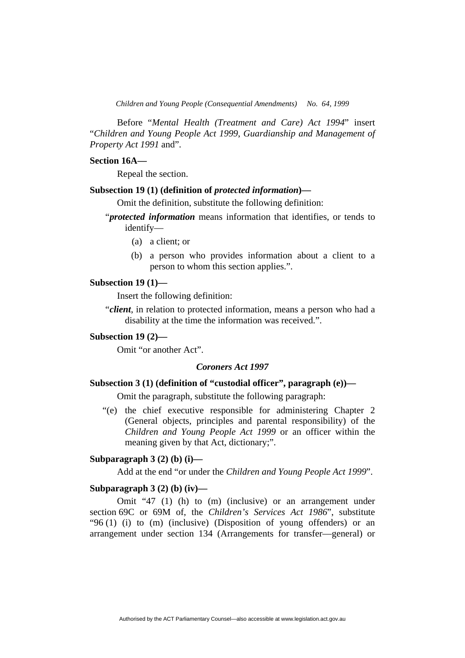Before "*Mental Health (Treatment and Care) Act 1994*" insert "*Children and Young People Act 1999*, *Guardianship and Management of Property Act 1991* and".

#### **Section 16A—**

Repeal the section.

### **Subsection 19 (1) (definition of** *protected information***)—**

Omit the definition, substitute the following definition:

- "*protected information* means information that identifies, or tends to identify—
	- (a) a client; or
	- (b) a person who provides information about a client to a person to whom this section applies.".

#### **Subsection 19 (1)—**

Insert the following definition:

"*client*, in relation to protected information, means a person who had a disability at the time the information was received.".

### **Subsection 19 (2)—**

Omit "or another Act".

### *Coroners Act 1997*

### **Subsection 3 (1) (definition of "custodial officer", paragraph (e))—**

Omit the paragraph, substitute the following paragraph:

 "(e) the chief executive responsible for administering Chapter 2 (General objects, principles and parental responsibility) of the *Children and Young People Act 1999* or an officer within the meaning given by that Act, dictionary;".

#### **Subparagraph 3 (2) (b) (i)—**

Add at the end "or under the *Children and Young People Act 1999*".

#### **Subparagraph 3 (2) (b) (iv)—**

 Omit "47 (1) (h) to (m) (inclusive) or an arrangement under section 69C or 69M of, the *Children's Services Act 1986*", substitute "96 (1) (i) to (m) (inclusive) (Disposition of young offenders) or an arrangement under section 134 (Arrangements for transfer—general) or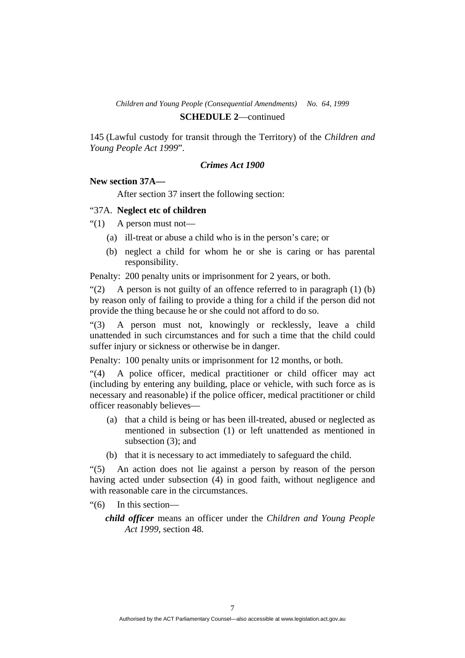145 (Lawful custody for transit through the Territory) of the *Children and Young People Act 1999*".

#### *Crimes Act 1900*

### **New section 37A—**

After section 37 insert the following section:

#### "37A. **Neglect etc of children**

" $(1)$  A person must not—

- (a) ill-treat or abuse a child who is in the person's care; or
- (b) neglect a child for whom he or she is caring or has parental responsibility.

Penalty: 200 penalty units or imprisonment for 2 years, or both.

"(2) A person is not guilty of an offence referred to in paragraph  $(1)$  (b) by reason only of failing to provide a thing for a child if the person did not provide the thing because he or she could not afford to do so.

"(3) A person must not, knowingly or recklessly, leave a child unattended in such circumstances and for such a time that the child could suffer injury or sickness or otherwise be in danger.

Penalty: 100 penalty units or imprisonment for 12 months, or both.

"(4) A police officer, medical practitioner or child officer may act (including by entering any building, place or vehicle, with such force as is necessary and reasonable) if the police officer, medical practitioner or child officer reasonably believes—

- (a) that a child is being or has been ill-treated, abused or neglected as mentioned in subsection (1) or left unattended as mentioned in subsection (3); and
- (b) that it is necessary to act immediately to safeguard the child.

"(5) An action does not lie against a person by reason of the person having acted under subsection (4) in good faith, without negligence and with reasonable care in the circumstances.

- "(6) In this section
	- *child officer* means an officer under the *Children and Young People Act 1999*, section 48.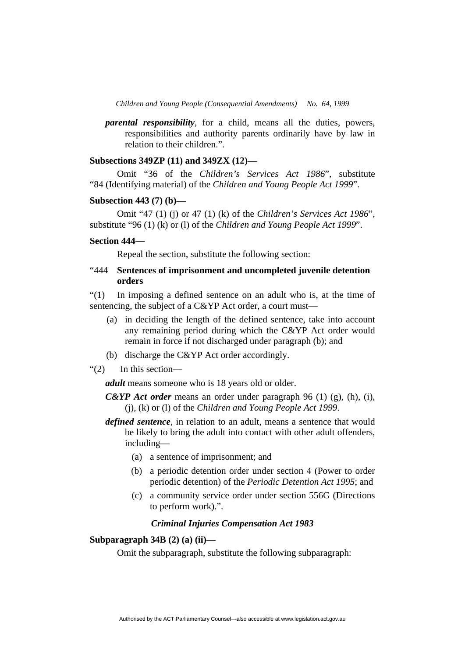*parental responsibility*, for a child, means all the duties, powers, responsibilities and authority parents ordinarily have by law in relation to their children.".

### **Subsections 349ZP (11) and 349ZX (12)—**

 Omit "36 of the *Children's Services Act 1986*", substitute "84 (Identifying material) of the *Children and Young People Act 1999*".

#### **Subsection 443 (7) (b)—**

 Omit "47 (1) (j) or 47 (1) (k) of the *Children's Services Act 1986*", substitute "96 (1) (k) or (l) of the *Children and Young People Act 1999*".

#### **Section 444—**

Repeal the section, substitute the following section:

### "444 **Sentences of imprisonment and uncompleted juvenile detention orders**

"(1) In imposing a defined sentence on an adult who is, at the time of sentencing, the subject of a C&YP Act order, a court must—

- (a) in deciding the length of the defined sentence, take into account any remaining period during which the C&YP Act order would remain in force if not discharged under paragraph (b); and
- (b) discharge the C&YP Act order accordingly.
- "(2) In this section—

*adult* means someone who is 18 years old or older.

*C&YP Act order* means an order under paragraph 96 (1) (g), (h), (i), (j), (k) or (l) of the *Children and Young People Act 1999*.

- *defined sentence*, in relation to an adult, means a sentence that would be likely to bring the adult into contact with other adult offenders, including—
	- (a) a sentence of imprisonment; and
	- (b) a periodic detention order under section 4 (Power to order periodic detention) of the *Periodic Detention Act 1995*; and
	- (c) a community service order under section 556G (Directions to perform work).".

#### *Criminal Injuries Compensation Act 1983*

### **Subparagraph 34B (2) (a) (ii)—**

Omit the subparagraph, substitute the following subparagraph: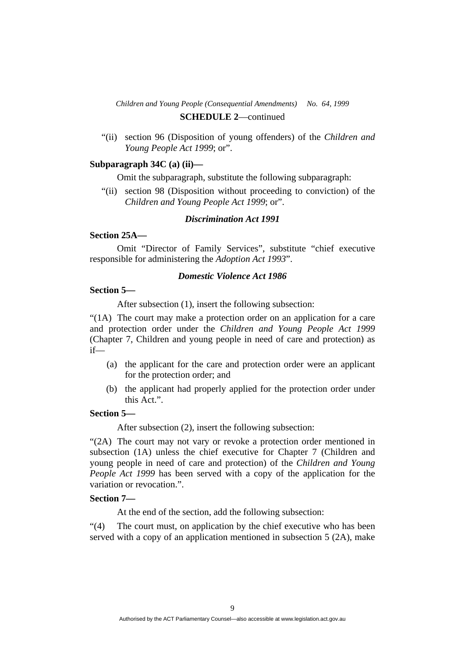"(ii) section 96 (Disposition of young offenders) of the *Children and Young People Act 1999*; or".

#### **Subparagraph 34C (a) (ii)—**

Omit the subparagraph, substitute the following subparagraph:

 "(ii) section 98 (Disposition without proceeding to conviction) of the *Children and Young People Act 1999*; or".

### *Discrimination Act 1991*

### **Section 25A—**

 Omit "Director of Family Services", substitute "chief executive responsible for administering the *Adoption Act 1993*".

#### *Domestic Violence Act 1986*

#### **Section 5—**

After subsection (1), insert the following subsection:

"(1A) The court may make a protection order on an application for a care and protection order under the *Children and Young People Act 1999* (Chapter 7, Children and young people in need of care and protection) as if—

- (a) the applicant for the care and protection order were an applicant for the protection order; and
- (b) the applicant had properly applied for the protection order under this Act.".

### **Section 5—**

After subsection (2), insert the following subsection:

"(2A) The court may not vary or revoke a protection order mentioned in subsection (1A) unless the chief executive for Chapter 7 (Children and young people in need of care and protection) of the *Children and Young People Act 1999* has been served with a copy of the application for the variation or revocation.".

### **Section 7—**

At the end of the section, add the following subsection:

"(4) The court must, on application by the chief executive who has been served with a copy of an application mentioned in subsection 5 (2A), make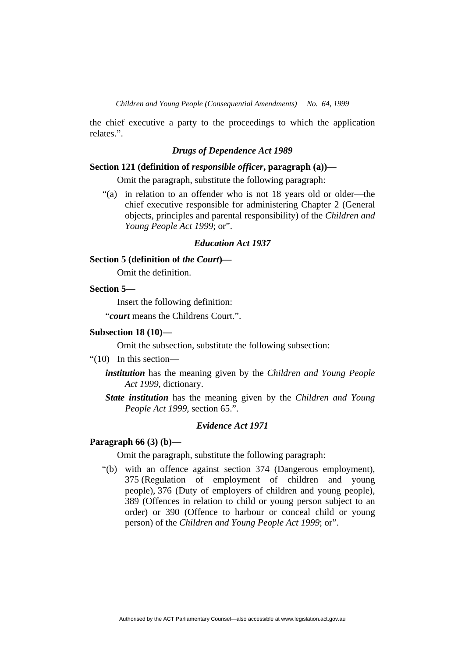the chief executive a party to the proceedings to which the application relates.".

#### *Drugs of Dependence Act 1989*

### **Section 121 (definition of** *responsible officer***, paragraph (a))—**

Omit the paragraph, substitute the following paragraph:

 "(a) in relation to an offender who is not 18 years old or older—the chief executive responsible for administering Chapter 2 (General objects, principles and parental responsibility) of the *Children and Young People Act 1999*; or".

#### *Education Act 1937*

### **Section 5 (definition of** *the Court***)—**

Omit the definition.

### **Section 5—**

Insert the following definition:

"*court* means the Childrens Court.".

#### **Subsection 18 (10)—**

Omit the subsection, substitute the following subsection:

- "(10) In this section
	- *institution* has the meaning given by the *Children and Young People Act 1999*, dictionary.
	- *State institution* has the meaning given by the *Children and Young People Act 1999*, section 65.".

### *Evidence Act 1971*

### **Paragraph 66 (3) (b)—**

Omit the paragraph, substitute the following paragraph:

 "(b) with an offence against section 374 (Dangerous employment), 375 (Regulation of employment of children and young people), 376 (Duty of employers of children and young people), 389 (Offences in relation to child or young person subject to an order) or 390 (Offence to harbour or conceal child or young person) of the *Children and Young People Act 1999*; or".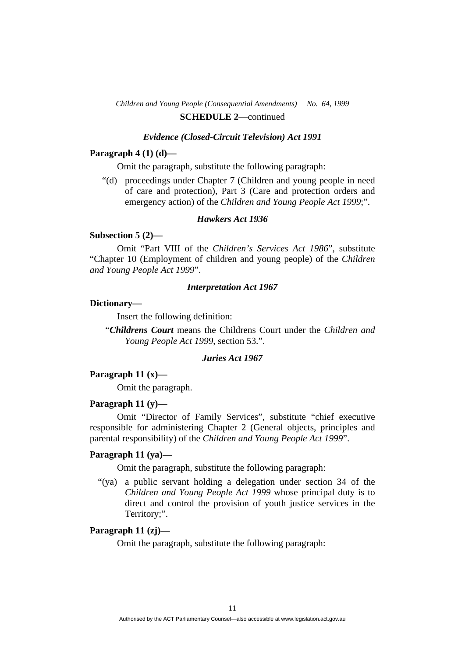#### *Evidence (Closed-Circuit Television) Act 1991*

### **Paragraph 4 (1) (d)—**

Omit the paragraph, substitute the following paragraph:

 "(d) proceedings under Chapter 7 (Children and young people in need of care and protection), Part 3 (Care and protection orders and emergency action) of the *Children and Young People Act 1999*;".

### *Hawkers Act 1936*

### **Subsection 5 (2)—**

 Omit "Part VIII of the *Children's Services Act 1986*", substitute "Chapter 10 (Employment of children and young people) of the *Children and Young People Act 1999*".

#### *Interpretation Act 1967*

### **Dictionary—**

Insert the following definition:

"*Childrens Court* means the Childrens Court under the *Children and Young People Act 1999*, section 53.".

### *Juries Act 1967*

### **Paragraph 11 (x)—**

Omit the paragraph.

#### **Paragraph 11 (y)—**

 Omit "Director of Family Services", substitute "chief executive responsible for administering Chapter 2 (General objects, principles and parental responsibility) of the *Children and Young People Act 1999*".

#### **Paragraph 11 (ya)—**

Omit the paragraph, substitute the following paragraph:

 "(ya) a public servant holding a delegation under section 34 of the *Children and Young People Act 1999* whose principal duty is to direct and control the provision of youth justice services in the Territory;".

### **Paragraph 11 (zj)—**

Omit the paragraph, substitute the following paragraph: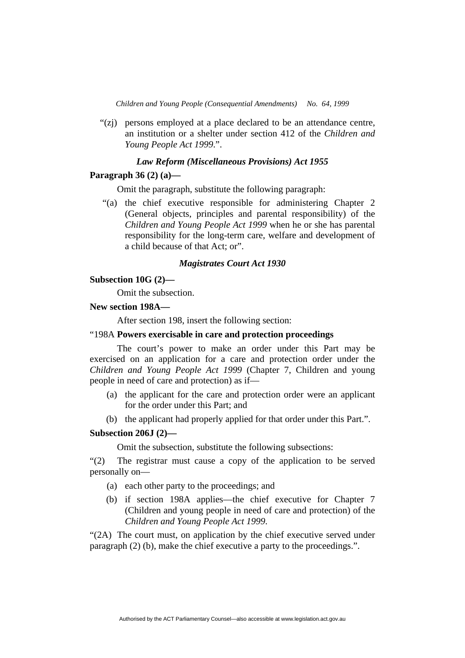"(zj) persons employed at a place declared to be an attendance centre, an institution or a shelter under section 412 of the *Children and Young People Act 1999*.".

#### *Law Reform (Miscellaneous Provisions) Act 1955*

### **Paragraph 36 (2) (a)—**

Omit the paragraph, substitute the following paragraph:

 "(a) the chief executive responsible for administering Chapter 2 (General objects, principles and parental responsibility) of the *Children and Young People Act 1999* when he or she has parental responsibility for the long-term care, welfare and development of a child because of that Act; or".

#### *Magistrates Court Act 1930*

#### **Subsection 10G (2)—**

Omit the subsection.

#### **New section 198A—**

After section 198, insert the following section:

### "198A **Powers exercisable in care and protection proceedings**

The court's power to make an order under this Part may be exercised on an application for a care and protection order under the *Children and Young People Act 1999* (Chapter 7, Children and young people in need of care and protection) as if—

- (a) the applicant for the care and protection order were an applicant for the order under this Part; and
- (b) the applicant had properly applied for that order under this Part.".

#### **Subsection 206J (2)—**

Omit the subsection, substitute the following subsections:

"(2) The registrar must cause a copy of the application to be served personally on—

- (a) each other party to the proceedings; and
- (b) if section 198A applies—the chief executive for Chapter 7 (Children and young people in need of care and protection) of the *Children and Young People Act 1999*.

"(2A) The court must, on application by the chief executive served under paragraph (2) (b), make the chief executive a party to the proceedings.".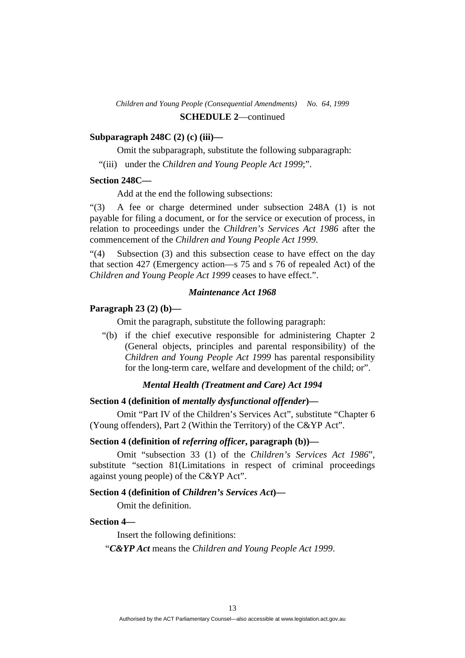### **Subparagraph 248C (2) (c) (iii)—**

Omit the subparagraph, substitute the following subparagraph:

"(iii) under the *Children and Young People Act 1999*;".

### **Section 248C—**

Add at the end the following subsections:

"(3) A fee or charge determined under subsection 248A (1) is not payable for filing a document, or for the service or execution of process, in relation to proceedings under the *Children's Services Act 1986* after the commencement of the *Children and Young People Act 1999*.

"(4) Subsection (3) and this subsection cease to have effect on the day that section 427 (Emergency action—s 75 and s 76 of repealed Act) of the *Children and Young People Act 1999* ceases to have effect.".

### *Maintenance Act 1968*

#### **Paragraph 23 (2) (b)—**

Omit the paragraph, substitute the following paragraph:

 "(b) if the chief executive responsible for administering Chapter 2 (General objects, principles and parental responsibility) of the *Children and Young People Act 1999* has parental responsibility for the long-term care, welfare and development of the child; or".

### *Mental Health (Treatment and Care) Act 1994*

### **Section 4 (definition of** *mentally dysfunctional offender***)—**

 Omit "Part IV of the Children's Services Act", substitute "Chapter 6 (Young offenders), Part 2 (Within the Territory) of the C&YP Act".

#### **Section 4 (definition of** *referring officer***, paragraph (b))—**

 Omit "subsection 33 (1) of the *Children's Services Act 1986*", substitute "section 81(Limitations in respect of criminal proceedings against young people) of the C&YP Act".

### **Section 4 (definition of** *Children's Services Act***)—**

Omit the definition.

#### **Section 4—**

Insert the following definitions:

"*C&YP Act* means the *Children and Young People Act 1999*.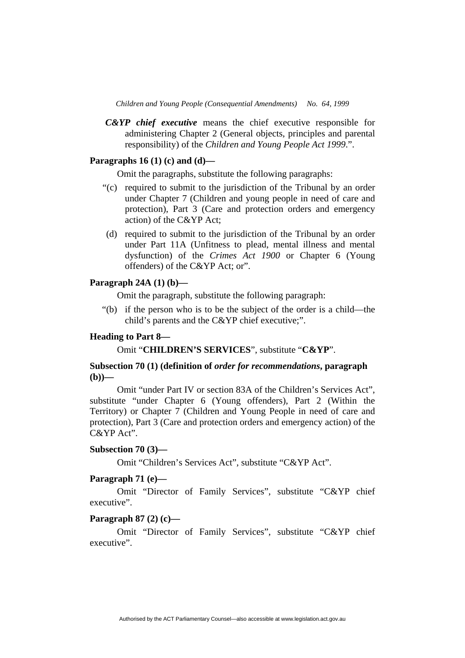*C&YP chief executive* means the chief executive responsible for administering Chapter 2 (General objects, principles and parental responsibility) of the *Children and Young People Act 1999*.".

### **Paragraphs 16 (1) (c) and (d)—**

Omit the paragraphs, substitute the following paragraphs:

- "(c) required to submit to the jurisdiction of the Tribunal by an order under Chapter 7 (Children and young people in need of care and protection), Part 3 (Care and protection orders and emergency action) of the C&YP Act;
- (d) required to submit to the jurisdiction of the Tribunal by an order under Part 11A (Unfitness to plead, mental illness and mental dysfunction) of the *Crimes Act 1900* or Chapter 6 (Young offenders) of the C&YP Act; or".

### **Paragraph 24A (1) (b)—**

Omit the paragraph, substitute the following paragraph:

 "(b) if the person who is to be the subject of the order is a child—the child's parents and the C&YP chief executive;".

### **Heading to Part 8—**

Omit "**CHILDREN'S SERVICES**", substitute "**C&YP**".

### **Subsection 70 (1) (definition of** *order for recommendations***, paragraph**   $(h)$

 Omit "under Part IV or section 83A of the Children's Services Act", substitute "under Chapter 6 (Young offenders), Part 2 (Within the Territory) or Chapter 7 (Children and Young People in need of care and protection), Part 3 (Care and protection orders and emergency action) of the C&YP Act".

### **Subsection 70 (3)—**

Omit "Children's Services Act", substitute "C&YP Act".

### **Paragraph 71 (e)—**

 Omit "Director of Family Services", substitute "C&YP chief executive".

### **Paragraph 87 (2) (c)—**

 Omit "Director of Family Services", substitute "C&YP chief executive".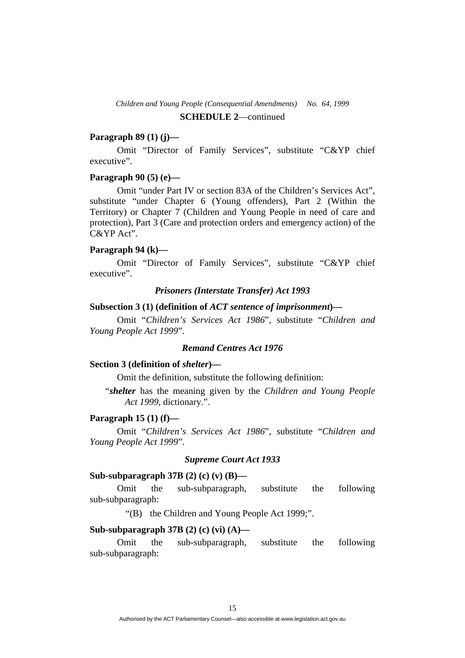### **Paragraph 89 (1) (j)—**

 Omit "Director of Family Services", substitute "C&YP chief executive".

### **Paragraph 90 (5) (e)—**

 Omit "under Part IV or section 83A of the Children's Services Act", substitute "under Chapter 6 (Young offenders), Part 2 (Within the Territory) or Chapter 7 (Children and Young People in need of care and protection), Part 3 (Care and protection orders and emergency action) of the C&YP Act".

#### **Paragraph 94 (k)—**

 Omit "Director of Family Services", substitute "C&YP chief executive".

#### *Prisoners (Interstate Transfer) Act 1993*

### **Subsection 3 (1) (definition of** *ACT sentence of imprisonment***)—**

 Omit "*Children's Services Act 1986*", substitute "*Children and Young People Act 1999*".

### *Remand Centres Act 1976*

#### **Section 3 (definition of** *shelter***)—**

Omit the definition, substitute the following definition:

"*shelter* has the meaning given by the *Children and Young People Act 1999*, dictionary.".

### **Paragraph 15 (1) (f)—**

 Omit "*Children's Services Act 1986*", substitute "*Children and Young People Act 1999*".

### *Supreme Court Act 1933*

### **Sub-subparagraph 37B (2) (c) (v) (B)—**

 Omit the sub-subparagraph, substitute the following sub-subparagraph:

"(B) the Children and Young People Act 1999;".

#### **Sub-subparagraph 37B (2) (c) (vi) (A)—**

 Omit the sub-subparagraph, substitute the following sub-subparagraph: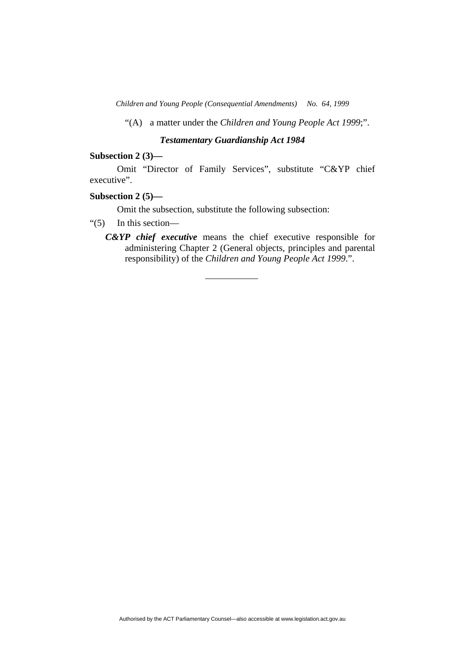"(A) a matter under the *Children and Young People Act 1999*;".

### *Testamentary Guardianship Act 1984*

#### **Subsection 2 (3)—**

 Omit "Director of Family Services", substitute "C&YP chief executive".

### **Subsection 2 (5)—**

Omit the subsection, substitute the following subsection:

### "(5) In this section—

*C&YP chief executive* means the chief executive responsible for administering Chapter 2 (General objects, principles and parental responsibility) of the *Children and Young People Act 1999*.".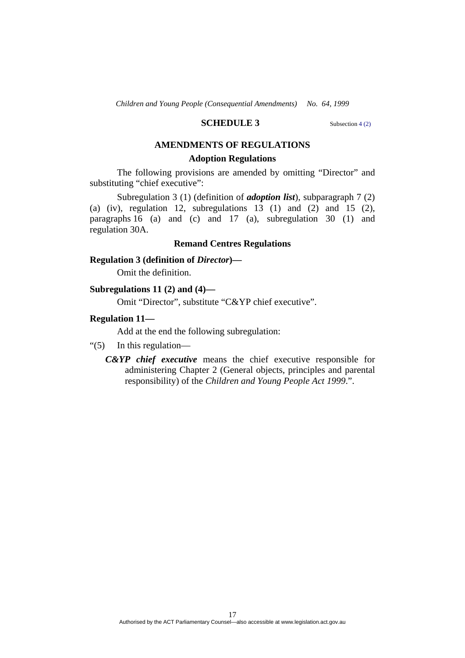### **SCHEDULE 3** Subsection 4 (2)

### **AMENDMENTS OF REGULATIONS**

### **Adoption Regulations**

 The following provisions are amended by omitting "Director" and substituting "chief executive":

 Subregulation 3 (1) (definition of *adoption list*), subparagraph 7 (2) (a) (iv), regulation 12, subregulations 13 (1) and (2) and 15 (2), paragraphs 16 (a) and (c) and 17 (a), subregulation 30 (1) and regulation 30A.

#### **Remand Centres Regulations**

### **Regulation 3 (definition of** *Director***)—**

Omit the definition.

#### **Subregulations 11 (2) and (4)—**

Omit "Director", substitute "C&YP chief executive".

#### **Regulation 11—**

Add at the end the following subregulation:

- "(5) In this regulation—
	- *C&YP chief executive* means the chief executive responsible for administering Chapter 2 (General objects, principles and parental responsibility) of the *Children and Young People Act 1999*.".